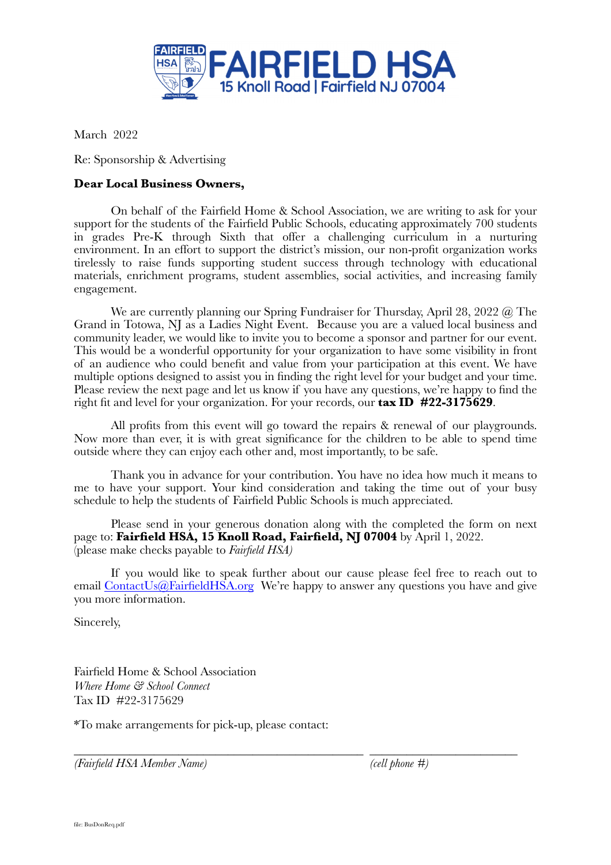

March 2022

Re: Sponsorship & Advertising

## **Dear Local Business Owners,**

On behalf of the Fairfield Home & School Association, we are writing to ask for your support for the students of the Fairfield Public Schools, educating approximately 700 students in grades Pre-K through Sixth that offer a challenging curriculum in a nurturing environment. In an effort to support the district's mission, our non-profit organization works tirelessly to raise funds supporting student success through technology with educational materials, enrichment programs, student assemblies, social activities, and increasing family engagement.

We are currently planning our Spring Fundraiser for Thursday, April 28, 2022 @ The Grand in Totowa, NJ as a Ladies Night Event. Because you are a valued local business and community leader, we would like to invite you to become a sponsor and partner for our event. This would be a wonderful opportunity for your organization to have some visibility in front of an audience who could benefit and value from your participation at this event. We have multiple options designed to assist you in finding the right level for your budget and your time. Please review the next page and let us know if you have any questions, we're happy to find the right fit and level for your organization. For your records, our **tax ID #22-3175629**.

All profits from this event will go toward the repairs & renewal of our playgrounds. Now more than ever, it is with great significance for the children to be able to spend time outside where they can enjoy each other and, most importantly, to be safe.

Thank you in advance for your contribution. You have no idea how much it means to me to have your support. Your kind consideration and taking the time out of your busy schedule to help the students of Fairfield Public Schools is much appreciated.

Please send in your generous donation along with the completed the form on next page to: **Fairfield HSA, 15 Knoll Road, Fairfield, NJ 07004** by April 1, 2022. (please make checks payable to *Fairfield HSA)*

If you would like to speak further about our cause please feel free to reach out to email [ContactUs@FairfieldHSA.org](mailto:ContactUs@FairfieldHSA.org) We're happy to answer any questions you have and give you more information.

\_\_\_\_\_\_\_\_\_\_\_\_\_\_\_\_\_\_\_\_\_\_\_\_\_\_\_\_\_\_\_\_\_\_\_\_\_\_\_\_\_\_\_\_\_\_\_ \_\_\_\_\_\_\_\_\_\_\_\_\_\_\_\_\_\_\_\_\_\_\_\_

Sincerely,

Fairfield Home & School Association *Where Home & School Connect* Tax ID #22-3175629

\*To make arrangements for pick-up, please contact:

*(Fairfield HSA Member Name) (cell phone #)*